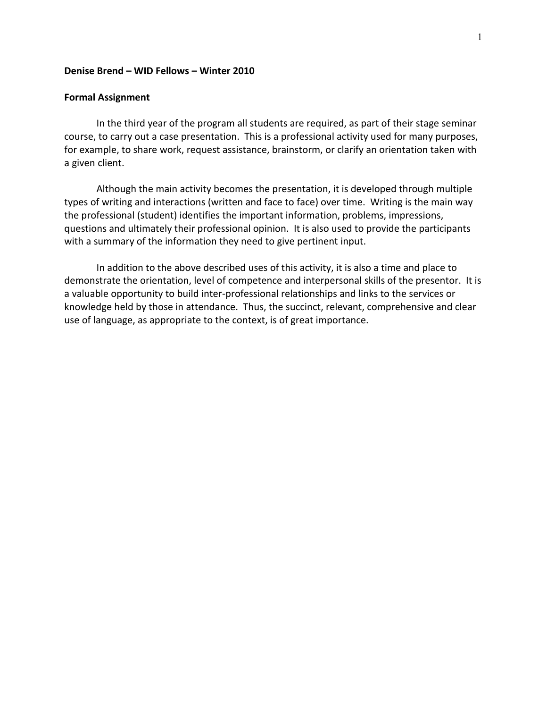#### **Denise Brend – WID Fellows – Winter 2010**

#### **Formal Assignment**

In the third year of the program all students are required, as part of their stage seminar course, to carry out a case presentation. This is a professional activity used for many purposes, for example, to share work, request assistance, brainstorm, or clarify an orientation taken with a given client.

Although the main activity becomes the presentation, it is developed through multiple types of writing and interactions (written and face to face) over time. Writing is the main way the professional (student) identifies the important information, problems, impressions, questions and ultimately their professional opinion. It is also used to provide the participants with a summary of the information they need to give pertinent input.

In addition to the above described uses of this activity, it is also a time and place to demonstrate the orientation, level of competence and interpersonal skills of the presentor. It is a valuable opportunity to build inter-professional relationships and links to the services or knowledge held by those in attendance. Thus, the succinct, relevant, comprehensive and clear use of language, as appropriate to the context, is of great importance.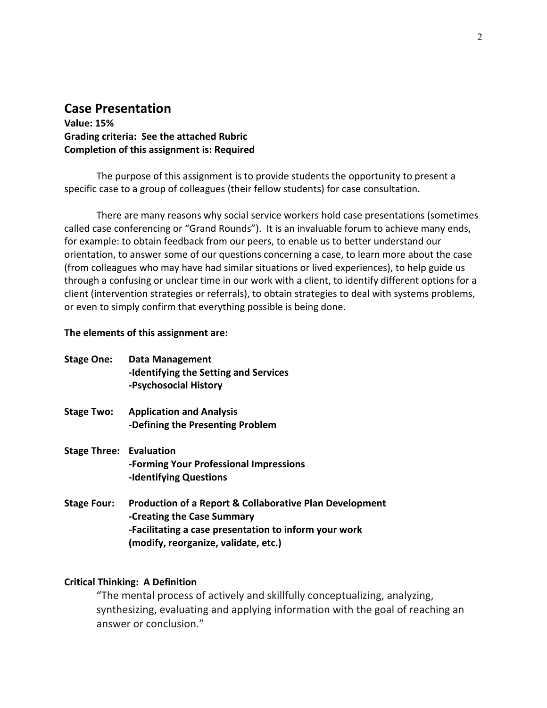## **Case Presentation**

**Value: 15% Grading criteria: See the attached Rubric Completion of this assignment is: Required**

The purpose of this assignment is to provide students the opportunity to present a specific case to a group of colleagues (their fellow students) for case consultation.

There are many reasons why social service workers hold case presentations (sometimes called case conferencing or "Grand Rounds"). It is an invaluable forum to achieve many ends, for example: to obtain feedback from our peers, to enable us to better understand our orientation, to answer some of our questions concerning a case, to learn more about the case (from colleagues who may have had similar situations or lived experiences), to help guide us through a confusing or unclear time in our work with a client, to identify different options for a client (intervention strategies or referrals), to obtain strategies to deal with systems problems, or even to simply confirm that everything possible is being done.

#### **The elements of this assignment are:**

| <b>Stage One:</b> | Data Management                       |
|-------------------|---------------------------------------|
|                   | -Identifying the Setting and Services |
|                   | -Psychosocial History                 |
|                   |                                       |

- **Stage Two: Application and Analysis -Defining the Presenting Problem**
- **Stage Three: Evaluation -Forming Your Professional Impressions -Identifying Questions**
- **Stage Four: Production of a Report & Collaborative Plan Development -Creating the Case Summary -Facilitating a case presentation to inform your work (modify, reorganize, validate, etc.)**

#### **Critical Thinking: A Definition**

"The mental process of actively and skillfully conceptualizing, analyzing, synthesizing, evaluating and applying information with the goal of reaching an answer or conclusion."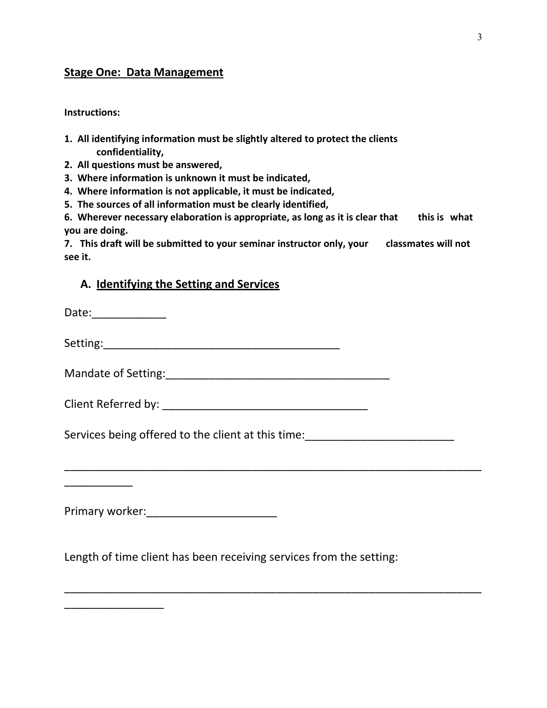# **Stage One: Data Management**

**Instructions:**

- **1. All identifying information must be slightly altered to protect the clients confidentiality,**
- **2. All questions must be answered,**
- **3. Where information is unknown it must be indicated,**
- **4. Where information is not applicable, it must be indicated,**
- **5. The sources of all information must be clearly identified,**
- **6. Wherever necessary elaboration is appropriate, as long as it is clear that this is what you are doing.**

**7. This draft will be submitted to your seminar instructor only, your classmates will not see it.**

### **A. Identifying the Setting and Services**

| Date: ____________ |  |
|--------------------|--|
|                    |  |
|                    |  |
|                    |  |
|                    |  |
|                    |  |
|                    |  |

Primary worker:\_\_\_\_\_\_\_\_\_\_\_\_\_\_\_\_\_\_\_\_\_

\_\_\_\_\_\_\_\_\_\_\_\_\_\_\_\_

Length of time client has been receiving services from the setting:

\_\_\_\_\_\_\_\_\_\_\_\_\_\_\_\_\_\_\_\_\_\_\_\_\_\_\_\_\_\_\_\_\_\_\_\_\_\_\_\_\_\_\_\_\_\_\_\_\_\_\_\_\_\_\_\_\_\_\_\_\_\_\_\_\_\_\_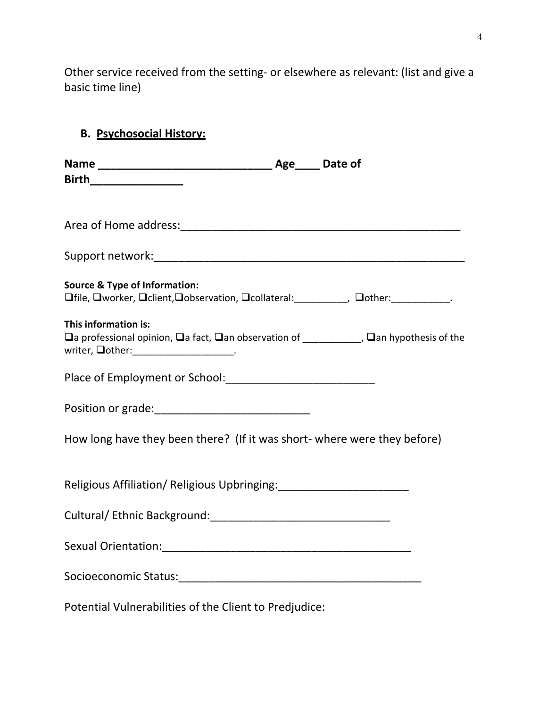Other service received from the setting- or elsewhere as relevant: (list and give a basic time line)

# **B. Psychosocial History:**

| Birth___________________                                                                                                                                               |  |
|------------------------------------------------------------------------------------------------------------------------------------------------------------------------|--|
|                                                                                                                                                                        |  |
|                                                                                                                                                                        |  |
|                                                                                                                                                                        |  |
| <b>Source &amp; Type of Information:</b><br><b>Ofile, Oworker, Oclient, Oobservation, Ocollateral:</b> ___________, Oother: ____________.                              |  |
| This information is:<br>□ a professional opinion, □ a fact, □ an observation of ____________, □ an hypothesis of the<br>writer, <b>Oother:</b> ______________________. |  |
|                                                                                                                                                                        |  |
| Position or grade: _______________________________                                                                                                                     |  |
| How long have they been there? (If it was short- where were they before)                                                                                               |  |
| Religious Affiliation/ Religious Upbringing: ___________________________________                                                                                       |  |
|                                                                                                                                                                        |  |
|                                                                                                                                                                        |  |
|                                                                                                                                                                        |  |
| Potential Vulnerabilities of the Client to Predjudice:                                                                                                                 |  |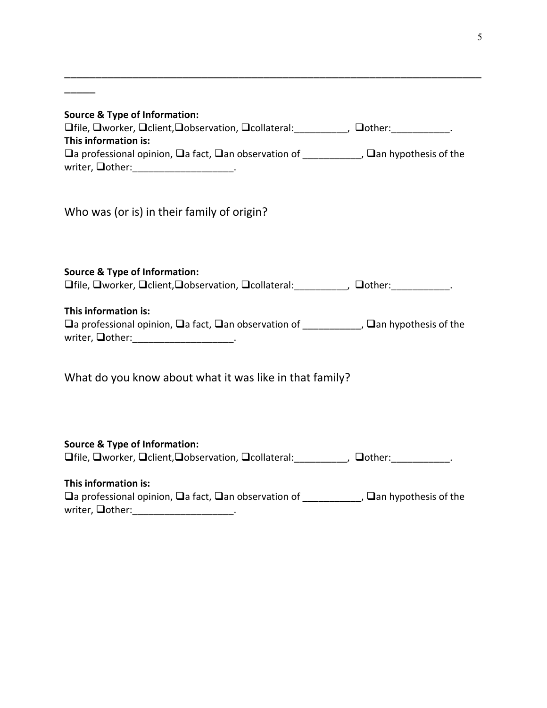| <b>Source &amp; Type of Information:</b><br><b>Offile, Oworker, Oclient, Oobservation, Ocollateral:</b> Other: Outher: Outher: Outher: Outleting of the United States<br>This information is: |
|-----------------------------------------------------------------------------------------------------------------------------------------------------------------------------------------------|
| $\Box$ a professional opinion, $\Box$ a fact, $\Box$ an observation of ____________, $\Box$ an hypothesis of the<br>writer, $\Box$ other: ______________________.                             |
| Who was (or is) in their family of origin?                                                                                                                                                    |
| <b>Source &amp; Type of Information:</b><br><b>Ofile, Oworker, Oclient, Oobservation, Ocollateral:</b> __________, Oother: ___________.                                                       |
| This information is:<br>$\Box$ a professional opinion, $\Box$ a fact, $\Box$ an observation of ____________, $\Box$ an hypothesis of the<br>writer, $\Box$ other: ______________________.     |
| What do you know about what it was like in that family?                                                                                                                                       |
| <b>Source &amp; Type of Information:</b><br>□ file, □ worker, □ client, □ observation, □ collateral: ___________, □ other: ____________.                                                      |
| This information is:<br>□ a professional opinion, □ a fact, □ an observation of ___________, □ an hypothesis of the<br>writer, <b>Qother:</b> _____________________.                          |

\_\_\_\_\_\_\_\_\_\_\_\_\_\_\_\_\_\_\_\_\_\_\_\_\_\_\_\_\_\_\_\_\_\_\_\_\_\_\_\_\_\_\_\_\_\_\_\_\_\_\_\_\_\_\_\_\_\_\_\_\_\_\_\_\_\_\_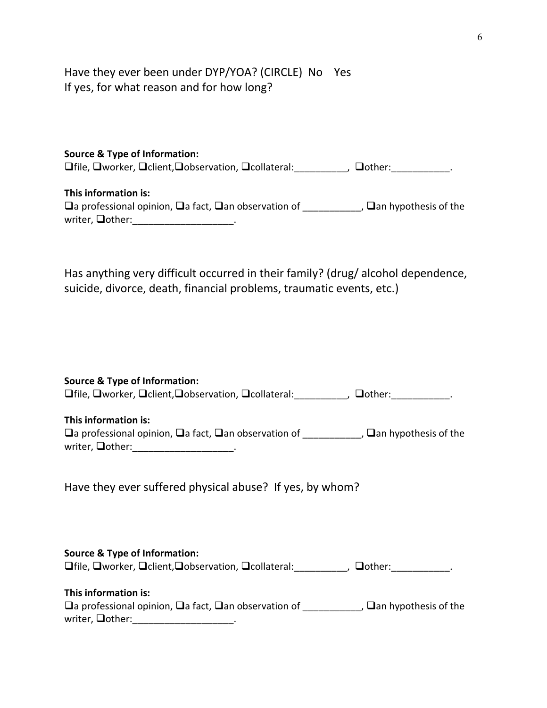Have they ever been under DYP/YOA? (CIRCLE) No Yes If yes, for what reason and for how long?

| <b>Source &amp; Type of Information:</b><br><b>□file, □worker, □client, □observation, □collateral:</b>                           | $\Box$ other:                 |
|----------------------------------------------------------------------------------------------------------------------------------|-------------------------------|
| This information is:<br>$\square$ a professional opinion, $\square$ a fact, $\square$ an observation of<br>writer, $\Box$ other: | , $\Box$ an hypothesis of the |

Has anything very difficult occurred in their family? (drug/ alcohol dependence, suicide, divorce, death, financial problems, traumatic events, etc.)

| Source & Type of Information:<br><b>Ofile, Oworker, Oclient, Oobservation, Ocollateral:</b> ___________, Oother: ____________.                                                             |
|--------------------------------------------------------------------------------------------------------------------------------------------------------------------------------------------|
| This information is:<br>$\Box$ a professional opinion, $\Box$ a fact, $\Box$ an observation of ____________, $\Box$ an hypothesis of the<br>writer, <b>Oother:</b> ______________________. |
| Have they ever suffered physical abuse? If yes, by whom?                                                                                                                                   |
| Source & Type of Information:<br><b>□</b> file, □ worker, □ client, □ observation, □ collateral: __________, □ other: ___________.                                                         |
| This information is:<br>$\Box$ a professional opinion, $\Box$ a fact, $\Box$ an observation of ____________, $\Box$ an hypothesis of the<br>writer, $\Box$ other: ______________________.  |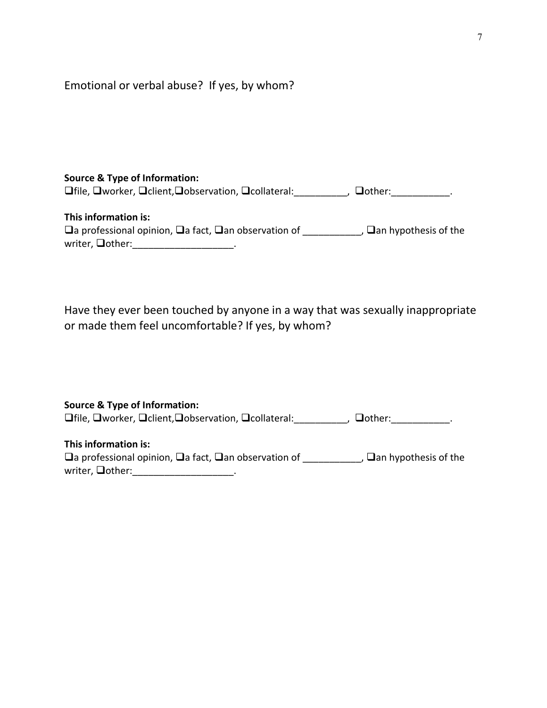| Emotional or verbal abuse? If yes, by whom? |  |  |  |
|---------------------------------------------|--|--|--|
|---------------------------------------------|--|--|--|

# **Source & Type of Information:**

Trile, Oworker, Oclient, Oobservation, Ocollateral: Collection, Octher: Collection

**This information is:**  $\Box$ a professional opinion,  $\Box$ a fact,  $\Box$ an observation of \_\_\_\_\_\_\_\_\_\_\_,  $\Box$ an hypothesis of the  $w$ riter,  $\Box$ other: \_\_\_\_\_\_\_\_\_\_\_\_\_\_\_\_\_\_\_\_\_.

Have they ever been touched by anyone in a way that was sexually inappropriate or made them feel uncomfortable? If yes, by whom?

| <b>Source &amp; Type of Information:</b> |
|------------------------------------------|
|------------------------------------------|

 $\Box$  file,  $\Box$  worker,  $\Box$  client, $\Box$  observation,  $\Box$  collateral:  $\Box$  ,  $\Box$  other:

### **This information is:**

 $\Box$ a professional opinion,  $\Box$ a fact,  $\Box$ an observation of  $\Box$ ,  $\Box$ an hypothesis of the writer,  $\Box$ other: \_\_\_\_\_\_\_\_\_\_\_\_\_\_\_\_\_\_\_\_\_\_\_.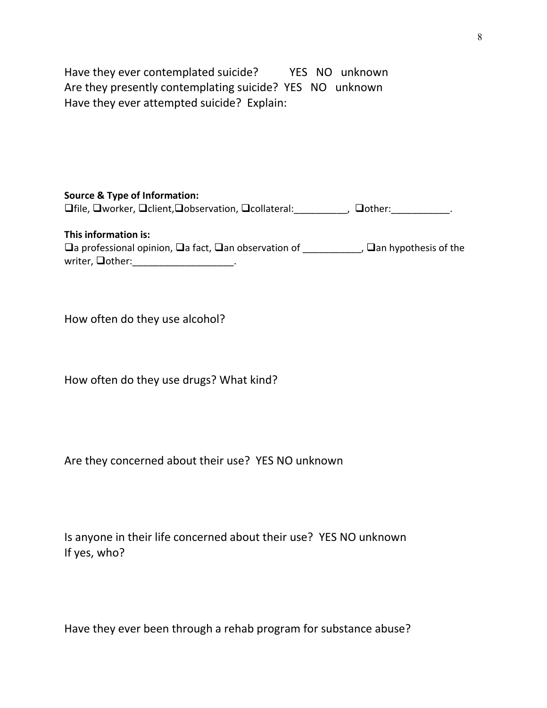Have they ever contemplated suicide? YES NO unknown Are they presently contemplating suicide? YES NO unknown Have they ever attempted suicide? Explain:

**Source & Type of Information:**  $\Box$  file,  $\Box$  worker,  $\Box$  client, $\Box$  observation,  $\Box$  collateral:  $\Box$  ,  $\Box$  other:

**This information is:**  $\Box$ a professional opinion,  $\Box$ a fact,  $\Box$ an observation of \_\_\_\_\_\_\_\_\_\_\_,  $\Box$ an hypothesis of the writer,  $\Box$ other: \_\_\_\_\_\_\_\_\_\_\_\_\_\_\_.

How often do they use alcohol?

How often do they use drugs? What kind?

Are they concerned about their use? YES NO unknown

Is anyone in their life concerned about their use? YES NO unknown If yes, who?

Have they ever been through a rehab program for substance abuse?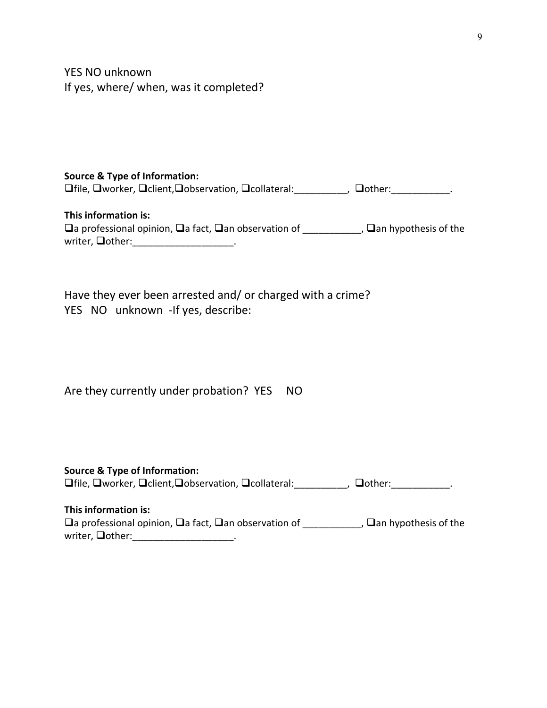YES NO unknown If yes, where/ when, was it completed?

### **Source & Type of Information:**  $\Box$  file,  $\Box$  worker,  $\Box$  client, $\Box$  observation,  $\Box$  collateral: \_\_\_\_\_\_\_\_\_\_,  $\Box$  other: \_\_\_\_\_\_\_\_\_\_\_\_.

**This information is:**  $\Box$ a professional opinion,  $\Box$ a fact,  $\Box$ an observation of \_\_\_\_\_\_\_\_\_\_\_,  $\Box$ an hypothesis of the  $w$ riter,  $\Box$ other: \_\_\_\_\_\_\_\_\_\_\_\_\_\_\_\_\_\_\_\_\_\_\_\_\_.

|  | Have they ever been arrested and/ or charged with a crime? |
|--|------------------------------------------------------------|
|  | YES NO unknown - If yes, describe:                         |

| Are they currently under probation? YES NO |  |
|--------------------------------------------|--|
|--------------------------------------------|--|

### **Source & Type of Information:** file, worker, client,observation, collateral:\_\_\_\_\_\_\_\_\_\_, other:\_\_\_\_\_\_\_\_\_\_\_.

#### **This information is:**

| $\Box$ a professional opinion, $\Box$ a fact, $\Box$ an observation of | , $\Box$ an hypothesis of the |
|------------------------------------------------------------------------|-------------------------------|
| writer, <b>Qother:</b>                                                 |                               |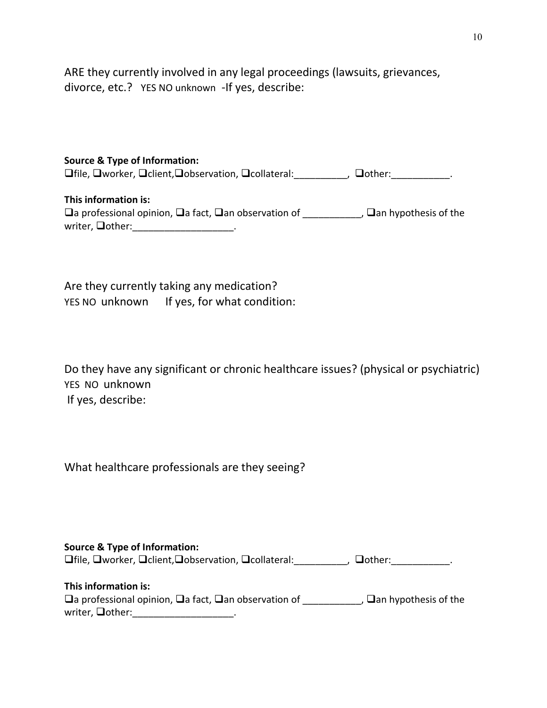ARE they currently involved in any legal proceedings (lawsuits, grievances, divorce, etc.? YES NO unknown -If yes, describe:

#### **Source & Type of Information:**

 $\Box$  file,  $\Box$  worker,  $\Box$  client, $\Box$  observation,  $\Box$  collateral: \_\_\_\_\_\_\_\_\_\_,  $\Box$  other: \_\_\_\_\_\_\_\_\_\_\_\_\_.

**This information is:**  $\Box$ a professional opinion,  $\Box$ a fact,  $\Box$ an observation of \_\_\_\_\_\_\_\_\_\_\_,  $\Box$ an hypothesis of the writer,  $\Box$ other: \_\_\_\_\_\_\_\_\_\_\_\_\_\_\_\_\_\_\_\_\_.

Are they currently taking any medication? YES NO unknown If yes, for what condition:

Do they have any significant or chronic healthcare issues? (physical or psychiatric) YES NO unknown If yes, describe:

What healthcare professionals are they seeing?

|  |  | <b>Source &amp; Type of Information:</b> |  |
|--|--|------------------------------------------|--|
|--|--|------------------------------------------|--|

Tile, Oworker, Oclient, Oobservation, Ocollateral: Collection, Octher: Collection

| This information is:                                                   |                               |
|------------------------------------------------------------------------|-------------------------------|
| $\Box$ a professional opinion, $\Box$ a fact, $\Box$ an observation of | , $\Box$ an hypothesis of the |
| writer, $\Box$ other:                                                  |                               |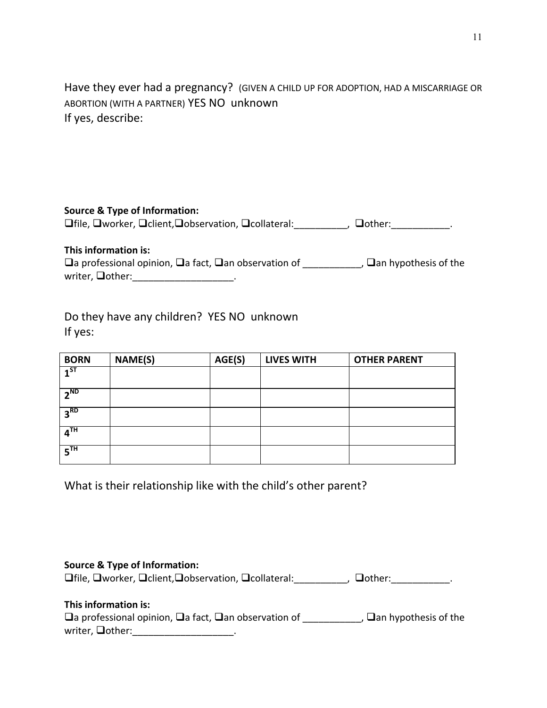Have they ever had a pregnancy? (GIVEN A CHILD UP FOR ADOPTION, HAD A MISCARRIAGE OR ABORTION (WITH A PARTNER) YES NO unknown If yes, describe:

**Source & Type of Information:**

 $\Box$  file,  $\Box$  worker,  $\Box$  client, $\Box$  observation,  $\Box$  collateral: \_\_\_\_\_\_\_\_\_\_,  $\Box$  other: \_\_\_\_\_\_\_\_\_\_\_\_\_.

**This information is:**

 $\Box$ a professional opinion,  $\Box$ a fact,  $\Box$ an observation of \_\_\_\_\_\_\_\_\_\_\_,  $\Box$ an hypothesis of the writer,  $\Box$ other: \_\_\_\_\_\_\_\_\_\_\_\_\_\_\_\_\_\_\_\_\_\_\_\_.

Do they have any children? YES NO unknown If yes:

| <b>BORN</b>         | <b>NAME(S)</b> | AGE(S) | <b>LIVES WITH</b> | <b>OTHER PARENT</b> |
|---------------------|----------------|--------|-------------------|---------------------|
| $\overline{1}$ st   |                |        |                   |                     |
| $2^{ND}$            |                |        |                   |                     |
| 3 <sup>RD</sup>     |                |        |                   |                     |
| $\overline{A}^{TH}$ |                |        |                   |                     |
| $5^{\text{TH}}$     |                |        |                   |                     |

What is their relationship like with the child's other parent?

**Source & Type of Information:**

 $\Box$  file,  $\Box$  worker,  $\Box$  client, $\Box$  observation,  $\Box$  collateral: \_\_\_\_\_\_\_\_\_\_,  $\Box$  other: \_\_\_\_\_\_\_\_\_\_\_\_.

## **This information is:**

 $\Box$ a professional opinion,  $\Box$ a fact,  $\Box$ an observation of \_\_\_\_\_\_\_\_\_\_\_,  $\Box$ an hypothesis of the writer,  $\Box$ other:  $\Box$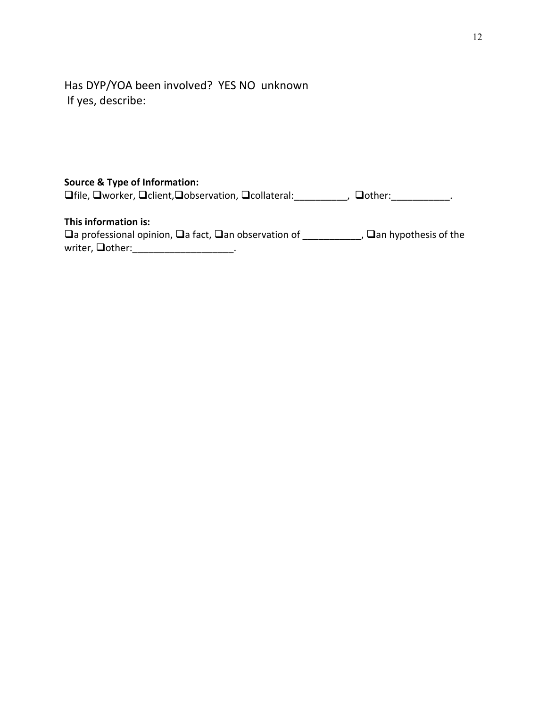Has DYP/YOA been involved? YES NO unknown If yes, describe:

### **Source & Type of Information:**

 $\Box$  file,  $\Box$  worker,  $\Box$  client, $\Box$  observation,  $\Box$  collateral: \_\_\_\_\_\_\_\_\_\_,  $\Box$  other: \_\_\_\_\_\_\_\_\_\_\_\_\_.

### **This information is:**

 $\Box$ a professional opinion,  $\Box$ a fact,  $\Box$ an observation of \_\_\_\_\_\_\_\_\_\_\_,  $\Box$ an hypothesis of the  $\text{writer, \textcolor{blue}{\textbf{Do}ther:}\textcolor{blue}{\textbf{Output}}}.$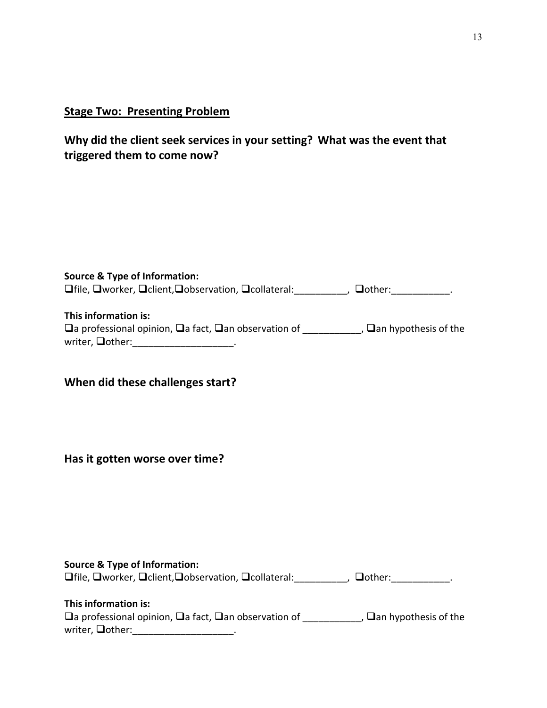# **Stage Two: Presenting Problem**

# **Why did the client seek services in your setting? What was the event that triggered them to come now?**

| <b>Source &amp; Type of Information:</b><br><b>Offile, Oworker, Oclient, Oobservation, Occollateral:</b> ____________, Oother: _____________.                                                |  |
|----------------------------------------------------------------------------------------------------------------------------------------------------------------------------------------------|--|
| This information is:<br>$\Box$ a professional opinion, $\Box$ a fact, $\Box$ an observation of ____________, $\Box$ an hypothesis of the<br>writer, <b>Oother:</b> ________________________. |  |
| When did these challenges start?                                                                                                                                                             |  |
| Has it gotten worse over time?                                                                                                                                                               |  |
|                                                                                                                                                                                              |  |
| <b>Source &amp; Type of Information:</b><br><b>Offile, Oworker, Oclient, Oobservation, Ocollateral:</b> __________, Oother: ___________.                                                     |  |
| This information is:<br>$\Box$ a professional opinion, $\Box$ a fact, $\Box$ an observation of ____________, $\Box$ an hypothesis of the                                                     |  |

writer, **Qother:\_\_\_\_\_\_\_\_\_\_\_\_\_\_\_\_\_\_\_**.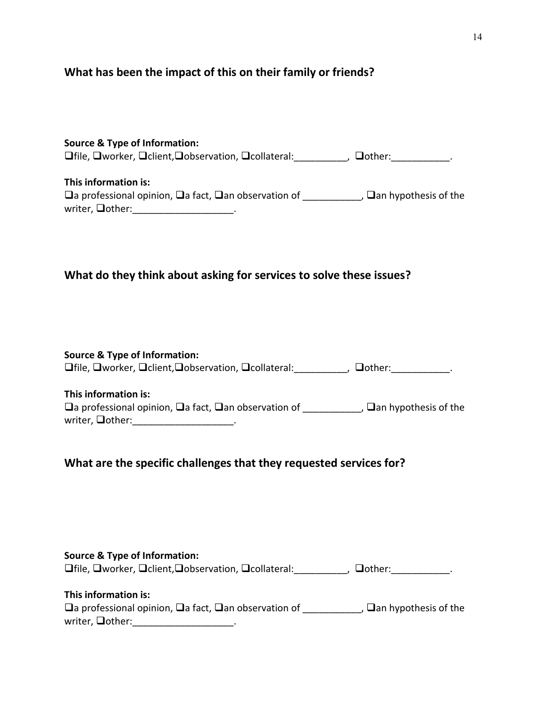# **What has been the impact of this on their family or friends?**

| <b>Source &amp; Type of Information:</b>                                          |                             |
|-----------------------------------------------------------------------------------|-----------------------------|
| $\Box$ file, $\Box$ worker, $\Box$ client, $\Box$ observation, $\Box$ collateral: | $\Box$ other:               |
|                                                                                   |                             |
| This information is:                                                              |                             |
| $\Box$ a professional opinion, $\Box$ a fact, $\Box$ an observation of            | $\Box$ an hypothesis of the |
| writer, $\Box$ other:                                                             |                             |

# **What do they think about asking for services to solve these issues?**

| <b>Source &amp; Type of Information:</b>                                          |                   |
|-----------------------------------------------------------------------------------|-------------------|
| $\Box$ file, $\Box$ worker, $\Box$ client, $\Box$ observation, $\Box$ collateral: | □ <b>□</b> other: |

### **This information is:**

| $\Box$ a professional opinion, $\Box$ a fact, $\Box$ an observation of | , $\Box$ an hypothesis of the |
|------------------------------------------------------------------------|-------------------------------|
| writer, <b>Qother:</b>                                                 |                               |

# **What are the specific challenges that they requested services for?**

| <b>Source &amp; Type of Information:</b> |  |
|------------------------------------------|--|
|------------------------------------------|--|

 $\Box$  file,  $\Box$  worker,  $\Box$  client, $\Box$  observation,  $\Box$  collateral: \_\_\_\_\_\_\_\_\_\_,  $\Box$  other: \_\_\_\_\_\_\_\_\_\_\_\_.

### **This information is:**

|                        | $\Box$ a professional opinion, $\Box$ a fact, $\Box$ an observation of |  | , $\Box$ an hypothesis of the |
|------------------------|------------------------------------------------------------------------|--|-------------------------------|
| writer, <b>Qother:</b> |                                                                        |  |                               |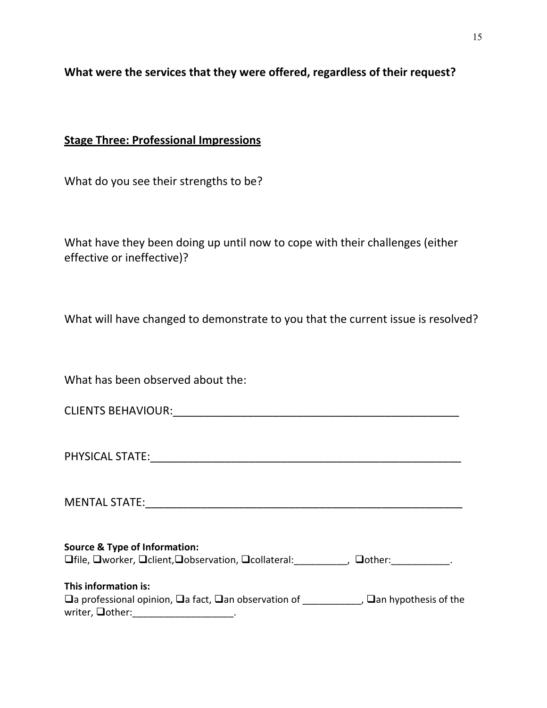# **What were the services that they were offered, regardless of their request?**

### **Stage Three: Professional Impressions**

What do you see their strengths to be?

What have they been doing up until now to cope with their challenges (either effective or ineffective)?

What will have changed to demonstrate to you that the current issue is resolved?

What has been observed about the:

CLIENTS BEHAVIOUR: **EXAMPLE 2008** 

PHYSICAL STATE:\_\_\_\_\_\_\_\_\_\_\_\_\_\_\_\_\_\_\_\_\_\_\_\_\_\_\_\_\_\_\_\_\_\_\_\_\_\_\_\_\_\_\_\_\_\_\_\_\_\_

MENTAL STATE:\_\_\_\_\_\_\_\_\_\_\_\_\_\_\_\_\_\_\_\_\_\_\_\_\_\_\_\_\_\_\_\_\_\_\_\_\_\_\_\_\_\_\_\_\_\_\_\_\_\_\_

**Source & Type of Information:**

file, worker, client,observation, collateral:\_\_\_\_\_\_\_\_\_\_, other:\_\_\_\_\_\_\_\_\_\_\_.

| This information is:                                                   |                               |
|------------------------------------------------------------------------|-------------------------------|
| $\Box$ a professional opinion, $\Box$ a fact, $\Box$ an observation of | , $\Box$ an hypothesis of the |
| writer, $\Box$ other:                                                  |                               |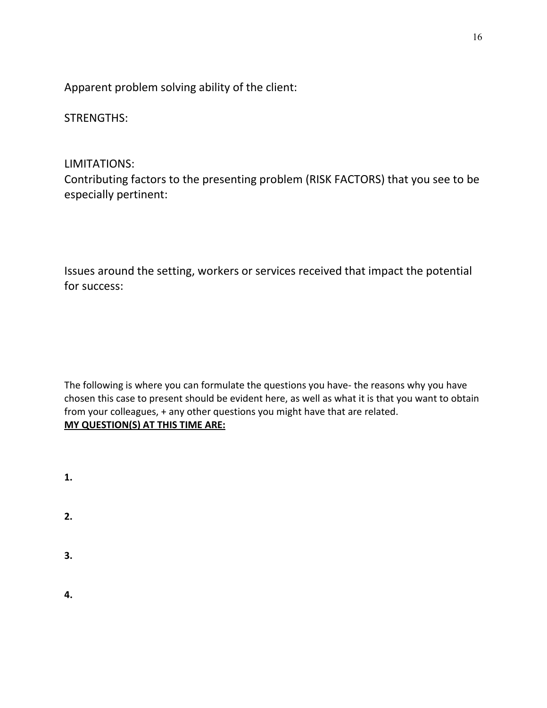Apparent problem solving ability of the client:

STRENGTHS:

# LIMITATIONS:

Contributing factors to the presenting problem (RISK FACTORS) that you see to be especially pertinent:

Issues around the setting, workers or services received that impact the potential for success:

The following is where you can formulate the questions you have- the reasons why you have chosen this case to present should be evident here, as well as what it is that you want to obtain from your colleagues, + any other questions you might have that are related. **MY QUESTION(S) AT THIS TIME ARE:**

| 1. |  |  |
|----|--|--|
| 2. |  |  |

**3.** 

**4.**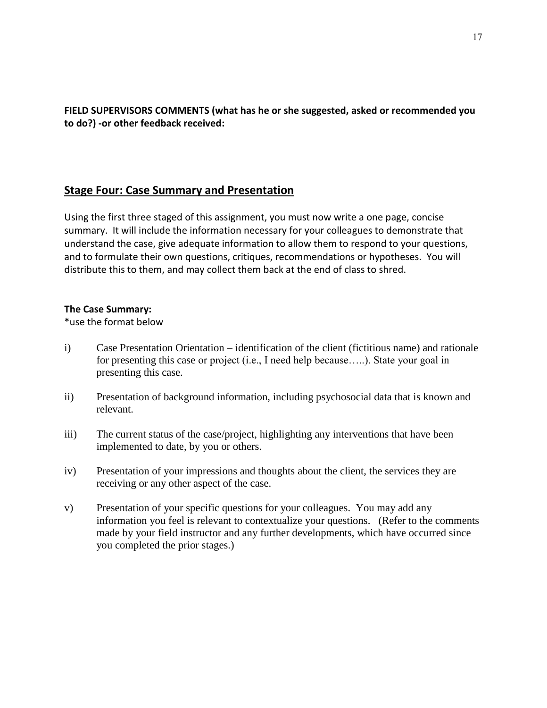**FIELD SUPERVISORS COMMENTS (what has he or she suggested, asked or recommended you to do?) -or other feedback received:**

## **Stage Four: Case Summary and Presentation**

Using the first three staged of this assignment, you must now write a one page, concise summary. It will include the information necessary for your colleagues to demonstrate that understand the case, give adequate information to allow them to respond to your questions, and to formulate their own questions, critiques, recommendations or hypotheses. You will distribute this to them, and may collect them back at the end of class to shred.

### **The Case Summary:**

\*use the format below

- i) Case Presentation Orientation identification of the client (fictitious name) and rationale for presenting this case or project (i.e., I need help because…..). State your goal in presenting this case.
- ii) Presentation of background information, including psychosocial data that is known and relevant.
- iii) The current status of the case/project, highlighting any interventions that have been implemented to date, by you or others.
- iv) Presentation of your impressions and thoughts about the client, the services they are receiving or any other aspect of the case.
- v) Presentation of your specific questions for your colleagues. You may add any information you feel is relevant to contextualize your questions. (Refer to the comments made by your field instructor and any further developments, which have occurred since you completed the prior stages.)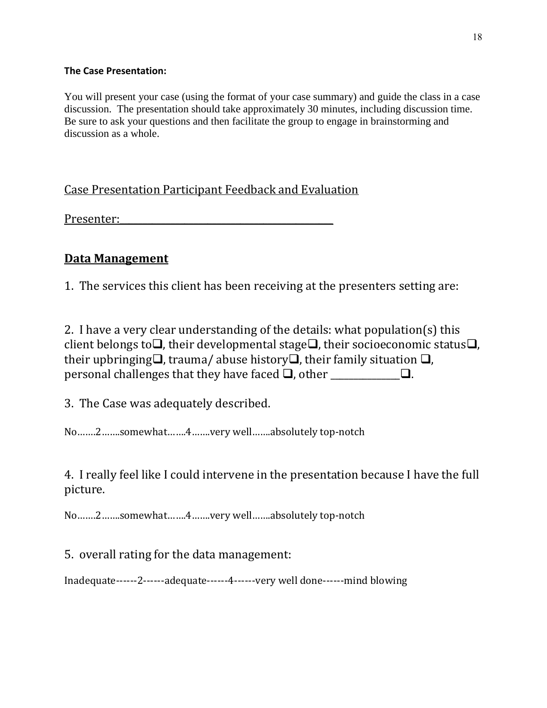### **The Case Presentation:**

You will present your case (using the format of your case summary) and guide the class in a case discussion. The presentation should take approximately 30 minutes, including discussion time. Be sure to ask your questions and then facilitate the group to engage in brainstorming and discussion as a whole.

Case Presentation Participant Feedback and Evaluation

Presenter:

# **Data Management**

1. The services this client has been receiving at the presenters setting are:

2. I have a very clear understanding of the details: what population(s) this client belongs to $\Box$ , their developmental stage $\Box$ , their socioeconomic status $\Box$ , their upbringing  $\Box$ , trauma/ abuse history  $\Box$ , their family situation  $\Box$ , personal challenges that they have faced  $\Box$ , other  $\Box$ .

3. The Case was adequately described.

No…….2…….somewhat…….4…….very well…….absolutely top-notch

4. I really feel like I could intervene in the presentation because I have the full picture.

No…….2…….somewhat…….4…….very well…….absolutely top-notch

5. overall rating for the data management:

Inadequate------2------adequate------4------very well done------mind blowing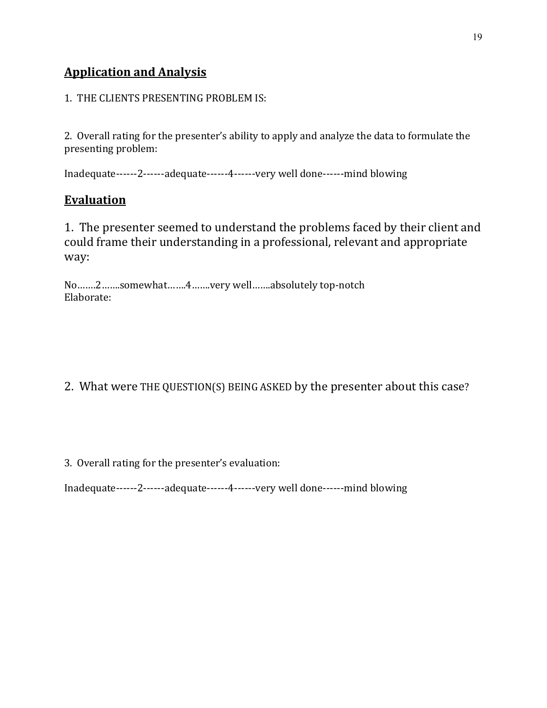# **Application and Analysis**

1. THE CLIENTS PRESENTING PROBLEM IS:

2. Overall rating for the presenter's ability to apply and analyze the data to formulate the presenting problem:

Inadequate------2------adequate------4------very well done------mind blowing

# **Evaluation**

1. The presenter seemed to understand the problems faced by their client and could frame their understanding in a professional, relevant and appropriate way:

No…….2…….somewhat…….4…….very well…….absolutely top-notch Elaborate:

2. What were THE QUESTION(S) BEING ASKED by the presenter about this case?

3. Overall rating for the presenter's evaluation:

Inadequate------2------adequate------4------very well done------mind blowing